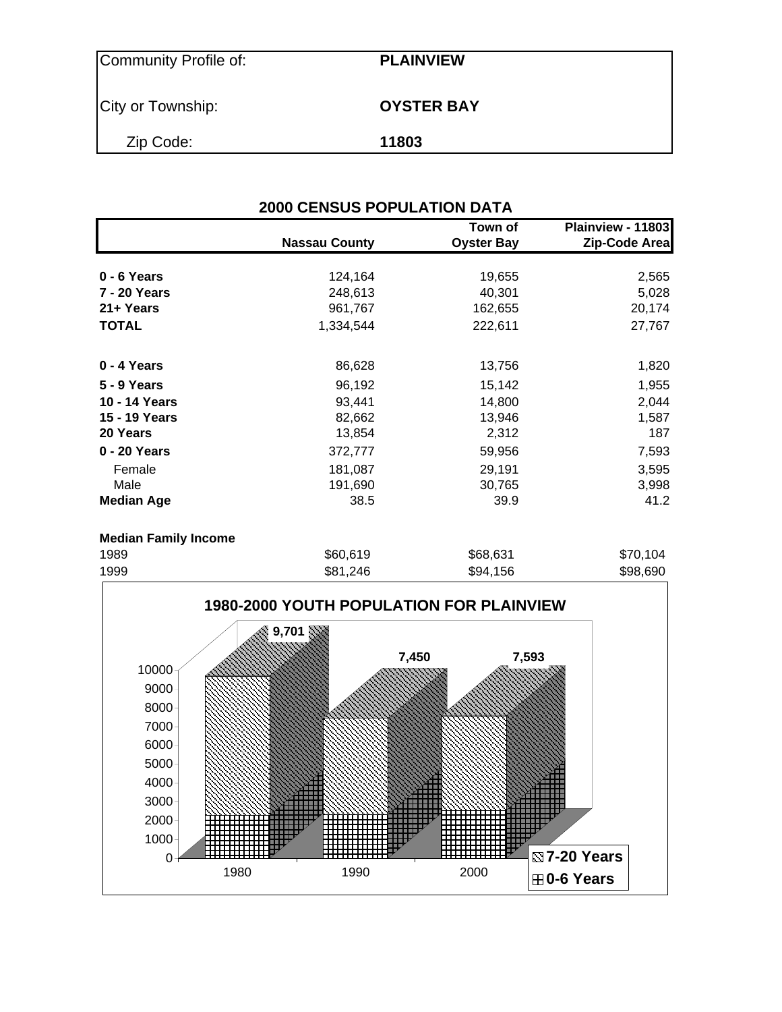| Community Profile of: | <b>PLAINVIEW</b>  |
|-----------------------|-------------------|
| City or Township:     | <b>OYSTER BAY</b> |
| Zip Code:             | 11803             |

|                             | <b>2000 CENSUS POPULATION DATA</b> |                              |                                    |
|-----------------------------|------------------------------------|------------------------------|------------------------------------|
|                             | <b>Nassau County</b>               | Town of<br><b>Oyster Bay</b> | Plainview - 11803<br>Zip-Code Area |
| 0 - 6 Years                 | 124,164                            | 19,655                       | 2,565                              |
| 7 - 20 Years                | 248,613                            | 40,301                       | 5,028                              |
| 21+ Years                   | 961,767                            | 162,655                      | 20,174                             |
| <b>TOTAL</b>                | 1,334,544                          | 222,611                      | 27,767                             |
| 0 - 4 Years                 | 86,628                             | 13,756                       | 1,820                              |
| 5 - 9 Years                 | 96,192                             | 15,142                       | 1,955                              |
| 10 - 14 Years               | 93,441                             | 14,800                       | 2,044                              |
| 15 - 19 Years               | 82,662                             | 13,946                       | 1,587                              |
| 20 Years                    | 13,854                             | 2,312                        | 187                                |
| 0 - 20 Years                | 372,777                            | 59,956                       | 7,593                              |
| Female                      | 181,087                            | 29,191                       | 3,595                              |
| Male                        | 191,690                            | 30,765                       | 3,998                              |
| <b>Median Age</b>           | 38.5                               | 39.9                         | 41.2                               |
| <b>Median Family Income</b> |                                    |                              |                                    |
| 1989                        | \$60,619                           | \$68,631                     | \$70,104                           |

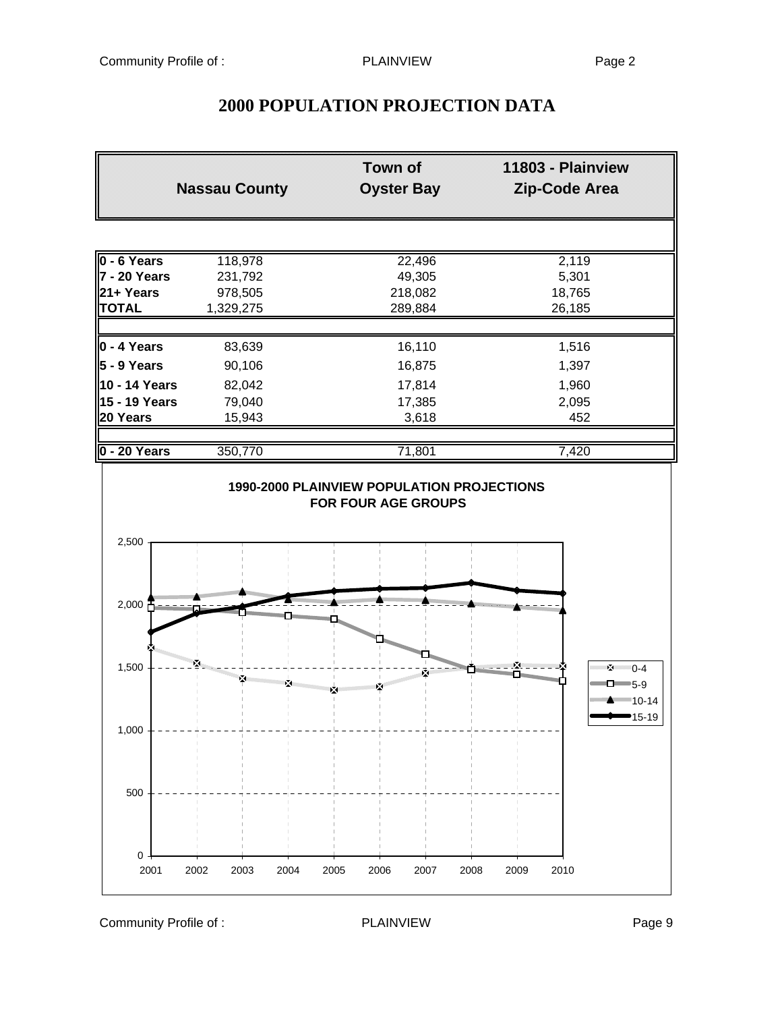# **Town of 11803 - Plainview Nassau County Oyster Bay Zip-Code Area 0 - 6 Years** 118,978 22,496 22,496 2,119 **7 - 20 Years** 231,792 49,305 5,301 **21+ Years** 978,505 218,082 18,765 **TOTAL** 1,329,275 289,884 26,185 **0 - 4 Years** 83,639 16,110 1,516 **5 - 9 Years** 90,106 16,875 1,397 **10 - 14 Years** 82,042 17,814 17,814 1,960 **15 - 19 Years** 79,040 **17,385** 2,095 **20 Years** 15,943 3,618 452 **0 - 20 Years** 350,770 71,801 7,420 **1990-2000 PLAINVIEW POPULATION PROJECTIONS FOR FOUR AGE GROUPS** 2,500  $2,000$   $\frac{1}{1}$ 1,500 Σ – **M** 0-4 Ř × Ŷ.  $\Box$  5-9 × 10-14 15-191,000 500  $0$ . 2001 2002 2003 2004 2005 2006 2007 2008 2009 2010

## **2000 POPULATION PROJECTION DATA**

Community Profile of : PLAINVIEW PLAINVIEW Page 9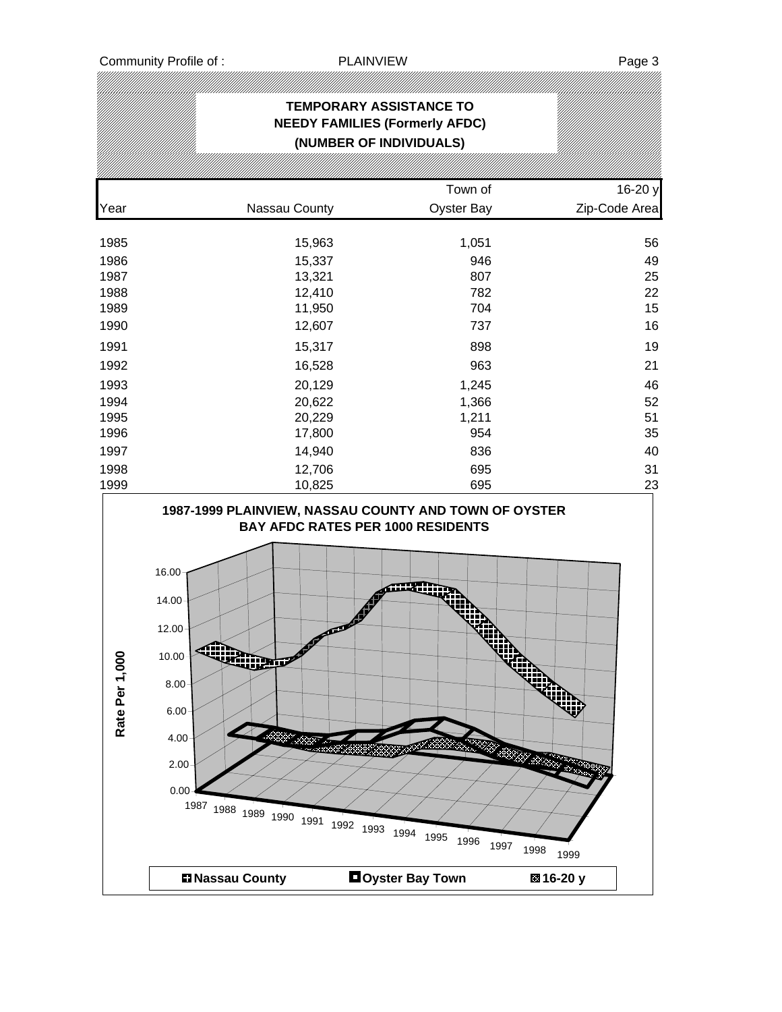## **TEMPORARY ASSISTANCE TO NEEDY FAMILIES (Formerly AFDC) (NUMBER OF INDIVIDUALS)** Town of 16-20 y Year Nassau County Oyster Bay Zip-Code Area 1985 15,963 1,051 56 1986 15,337 946 49 1987 13,321 807 25 1988 12,410 782 22 1989 11,950 704 15 1990 12,607 737 16 1991 15,317 898 19 1992 16,528 963 21 1993 20,129 1,245 46 1994 20,622 1,366 52 1995 20,229 1,211 51 1996 17,800 954 35 1997 14,940 836 40 1998 12,706 695 31 1999 10,825 695 23 **1987-1999 PLAINVIEW, NASSAU COUNTY AND TOWN OF OYSTER BAY AFDC RATES PER 1000 RESIDENTS** 16.00 14.00 12.00 ₩ Rate Per 1,000 10.00 **Rate Per 1,000**8.00 6.00 ⋙ 4.00 .<br>200 **ROW BOOK** 2.00 0.00 <sup>1987</sup> <sup>1988</sup> <sup>1989</sup> <sup>1990</sup> <sup>1991</sup> <sup>1992</sup> <sup>1993</sup> <sup>1994</sup> <sup>1995</sup> <sup>1996</sup> <sup>1997</sup> <sup>1998</sup> <sup>1999</sup> **Nassau County Oyster Bay Town 16-20 y**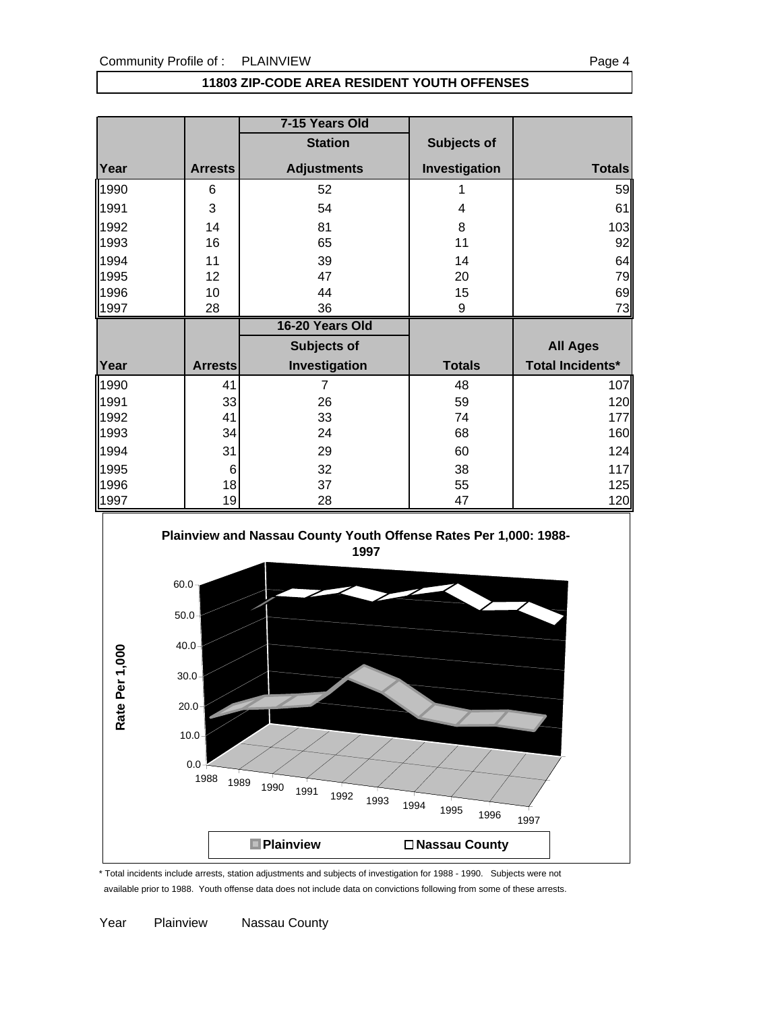### **11803 ZIP-CODE AREA RESIDENT YOUTH OFFENSES**

|              |                | 7-15 Years Old     |                    |                         |
|--------------|----------------|--------------------|--------------------|-------------------------|
|              |                | <b>Station</b>     | <b>Subjects of</b> |                         |
| Year         | <b>Arrests</b> | <b>Adjustments</b> | Investigation      | <b>Totals</b>           |
| 1990         | 6              | 52                 |                    | 59                      |
| 1991         | 3              | 54                 | 4                  | 61                      |
| 1992         | 14             | 81                 | 8                  | 103                     |
| 1993         | 16             | 65                 | 11                 | 92                      |
| 1994         | 11             | 39                 | 14                 | 64                      |
| 1995         | 12             | 47                 | 20                 | 79                      |
| 1996         | 10             | 44                 | 15                 | 69                      |
| 1997         | 28             | 36                 | 9                  | 73                      |
|              |                |                    |                    |                         |
|              |                | 16-20 Years Old    |                    |                         |
|              |                | Subjects of        |                    | <b>All Ages</b>         |
| Year         | <b>Arrests</b> | Investigation      | <b>Totals</b>      | <b>Total Incidents*</b> |
|              | 41             | $\overline{7}$     | 48                 |                         |
| 1990<br>1991 | 33             | 26                 | 59                 | 107<br>120              |
| 1992         | 41             | 33                 | 74                 | 177                     |
| 1993         | 34             | 24                 | 68                 | 160                     |
| 1994         | 31             | 29                 | 60                 | 124                     |
| 1995         | 6              | 32                 | 38                 | 117                     |
| 1996         | 18             | 37                 | 55                 | 125                     |



\* Total incidents include arrests, station adjustments and subjects of investigation for 1988 - 1990. Subjects were not available prior to 1988. Youth offense data does not include data on convictions following from some of these arrests.

Year Plainview Nassau County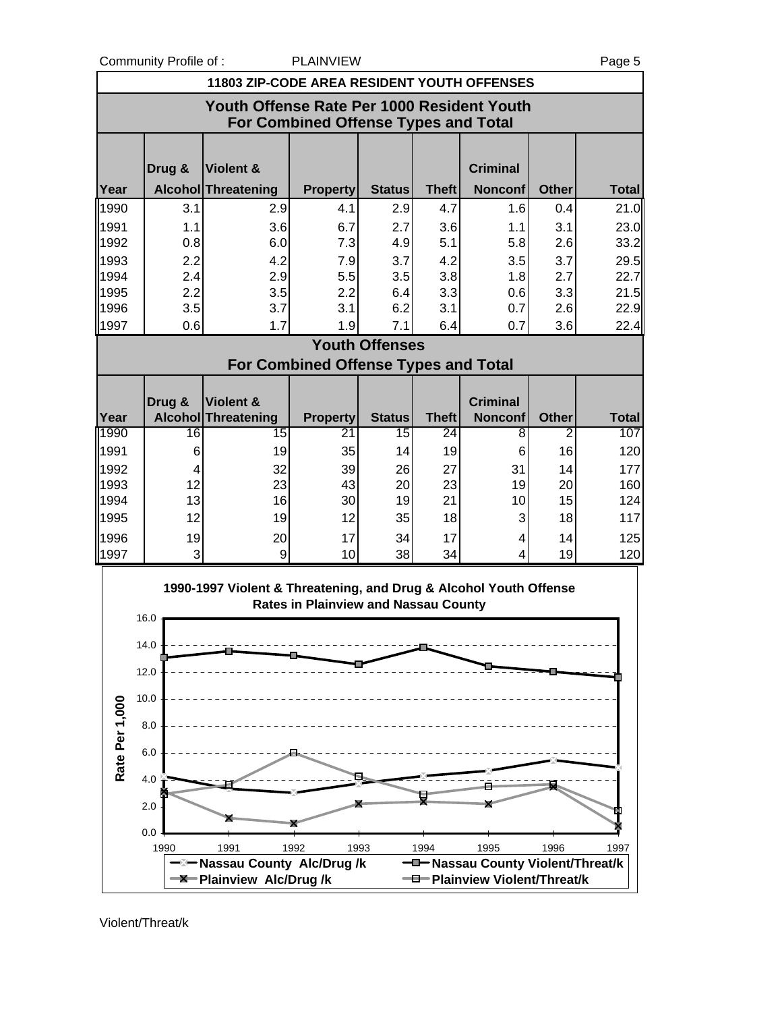Community Profile of : PLAINVIEW Page 5

|              | <b>11803 ZIP-CODE AREA RESIDENT YOUTH OFFENSES</b>                                        |                                  |                                             |                       |                 |                                   |              |              |  |  |
|--------------|-------------------------------------------------------------------------------------------|----------------------------------|---------------------------------------------|-----------------------|-----------------|-----------------------------------|--------------|--------------|--|--|
|              | Youth Offense Rate Per 1000 Resident Youth<br><b>For Combined Offense Types and Total</b> |                                  |                                             |                       |                 |                                   |              |              |  |  |
| Year         | Drug &                                                                                    | Violent &<br>Alcohol Threatening | <b>Property</b>                             | <b>Status</b>         | <b>Theft</b>    | <b>Criminal</b><br><b>Nonconf</b> | <b>Other</b> | <b>Total</b> |  |  |
| 1990         | 3.1                                                                                       | 2.9                              | 4.1                                         | 2.9                   | 4.7             | 1.6                               | 0.4          | 21.0         |  |  |
|              |                                                                                           |                                  |                                             |                       |                 |                                   |              |              |  |  |
| 1991<br>1992 | 1.1<br>0.8                                                                                | 3.6<br>6.0                       | 6.7<br>7.3                                  | 2.7<br>4.9            | 3.6<br>5.1      | 1.1<br>5.8                        | 3.1<br>2.6   | 23.0<br>33.2 |  |  |
| 1993         | 2.2                                                                                       | 4.2                              | 7.9                                         | 3.7                   | 4.2             | 3.5                               | 3.7          | 29.5         |  |  |
| 1994         | 2.4                                                                                       | 2.9                              | 5.5                                         | 3.5                   | 3.8             | 1.8                               | 2.7          | 22.7         |  |  |
| 1995         | 2.2                                                                                       | 3.5                              | 2.2                                         | 6.4                   | 3.3             | 0.6                               | 3.3          | 21.5         |  |  |
| 1996         | 3.5                                                                                       | 3.7                              | 3.1                                         | 6.2                   | 3.1             | 0.7                               | 2.6          | 22.9         |  |  |
| 1997         | 0.6                                                                                       | 1.7                              | 1.9                                         | 7.1                   | 6.4             | 0.7                               | 3.6          | 22.4         |  |  |
|              |                                                                                           |                                  |                                             | <b>Youth Offenses</b> |                 |                                   |              |              |  |  |
|              |                                                                                           |                                  | <b>For Combined Offense Types and Total</b> |                       |                 |                                   |              |              |  |  |
|              |                                                                                           |                                  |                                             |                       |                 |                                   |              |              |  |  |
|              | Drug &                                                                                    | Violent &                        |                                             |                       |                 | <b>Criminal</b>                   |              |              |  |  |
| Year         |                                                                                           | <b>Alcohol Threatening</b>       | <b>Property</b>                             | <b>Status</b>         | <b>Theft</b>    | <b>Nonconf</b>                    | <b>Other</b> | <b>Total</b> |  |  |
| 1990         | 16                                                                                        | $\overline{15}$                  | $\overline{21}$                             | 15                    | $\overline{24}$ | 8                                 | 2            | 107          |  |  |
| 1991         | 6                                                                                         | 19                               | 35                                          | 14                    | 19              | 6                                 | 16           | 120          |  |  |
| 1992         | 4                                                                                         | 32                               | 39                                          | 26                    | 27              | 31                                | 14           | 177          |  |  |
| 1993         | 12                                                                                        | 23                               | 43                                          | 20                    | 23              | 19                                | 20           | 160          |  |  |
| 1994         | 13                                                                                        | 16                               | 30                                          | 19                    | 21              | 10                                | 15           | 124          |  |  |
| 1995         | 12                                                                                        | 19                               | 12                                          | 35                    | 18              | 3                                 | 18           | 117          |  |  |
| 1996         | 19                                                                                        | 20                               | 17                                          | 34                    | 17              | 4                                 | 14           | 125          |  |  |
| 1997         | 3                                                                                         | 9                                | 10                                          | 38                    | 34              | 4                                 | 19           | 120          |  |  |



Violent/Threat/k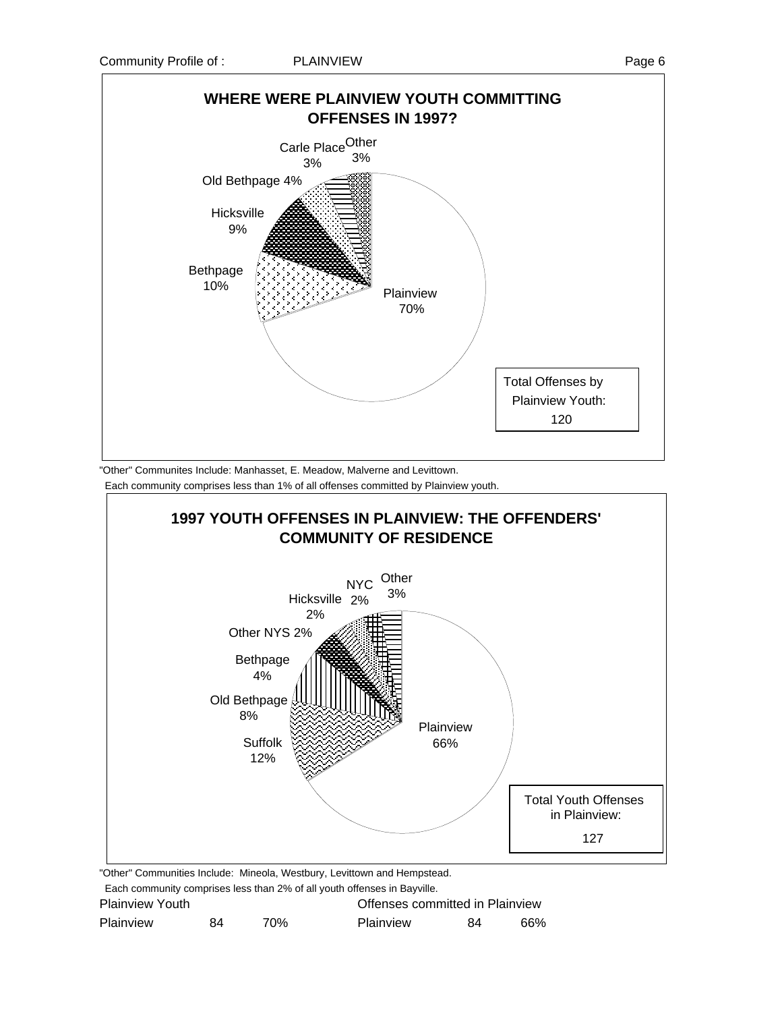



"Other" Communites Include: Manhasset, E. Meadow, Malverne and Levittown.

Each community comprises less than 1% of all offenses committed by Plainview youth.



| Plainview | 84 | 70% | <b>Plainview</b> | 84 | 66% |
|-----------|----|-----|------------------|----|-----|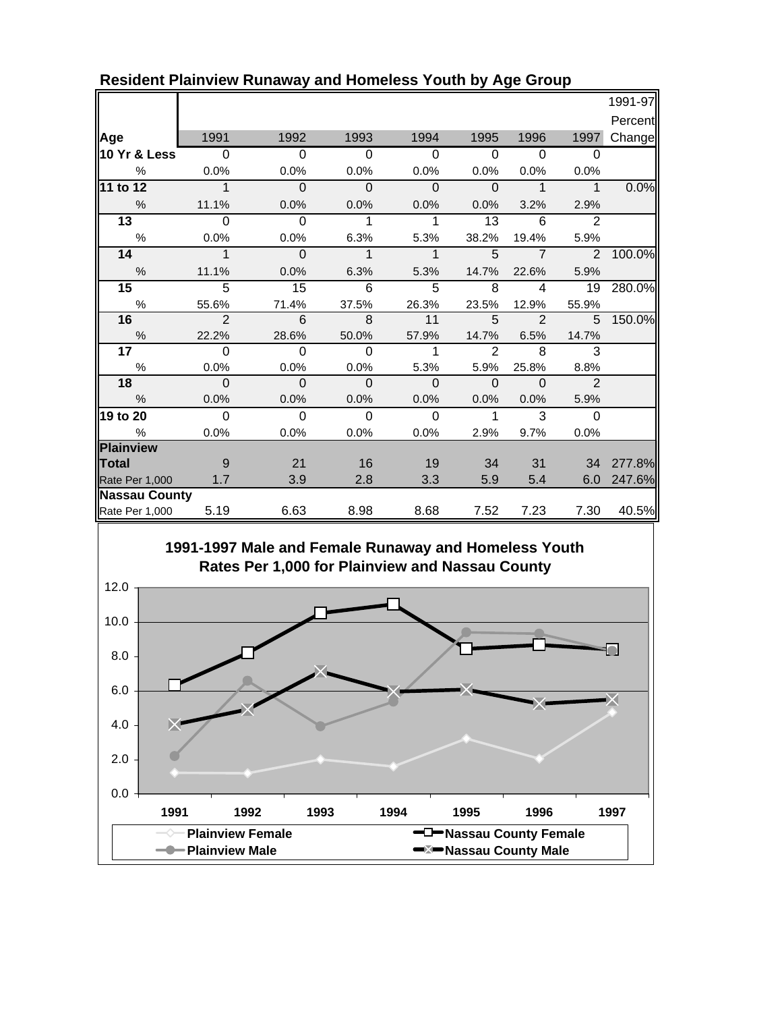|                      |                          |                |                |                |                |                |                | 1991-97 |
|----------------------|--------------------------|----------------|----------------|----------------|----------------|----------------|----------------|---------|
|                      |                          |                |                |                |                |                |                | Percent |
| Age                  | 1991                     | 1992           | 1993           | 1994           | 1995           | 1996           | 1997           | Change  |
| 10 Yr & Less         | $\overline{0}$           | $\Omega$       | $\Omega$       | $\Omega$       | $\Omega$       | $\Omega$       | $\Omega$       |         |
| %                    | 0.0%                     | 0.0%           | 0.0%           | 0.0%           | 0.0%           | 0.0%           | 0.0%           |         |
| 11 to 12             | $\Phi$                   | $\overline{0}$ | $\Omega$       | $\mathbf{0}$   | $\mathbf 0$    | $\mathbf{1}$   | $\overline{1}$ | 0.0%    |
| $\frac{0}{0}$        | 11.1%                    | 0.0%           | 0.0%           | 0.0%           | $0.0\%$        | 3.2%           | 2.9%           |         |
| $\overline{13}$      | $\Omega$                 | $\Omega$       | 1              | 1              | 13             | 6              | 2              |         |
| $\%$                 | 0.0%                     | 0.0%           | 6.3%           | 5.3%           | 38.2%          | 19.4%          | 5.9%           |         |
| 14                   | $\overline{\phantom{a}}$ | - 0            | $\mathbf 1$    | $\mathbf{1}$   | 5              | $\overline{7}$ | $\mathcal{P}$  | 100.0%  |
| %                    | 11.1%                    | 0.0%           | 6.3%           | 5.3%           | 14.7%          | 22.6%          | 5.9%           |         |
| 15                   | 5                        | 15             | $6\phantom{1}$ | 5              | 8              | $\overline{4}$ | 19             | 280.0%  |
| $\%$                 | 55.6%                    | 71.4%          | 37.5%          | 26.3%          | 23.5%          | 12.9%          | 55.9%          |         |
| 16                   | $\overline{\mathcal{L}}$ | 6              | $\overline{8}$ | 11             | 5              | $\overline{2}$ | 5              | 150.0%  |
| $\frac{0}{6}$        | 22.2%                    | 28.6%          | 50.0%          | 57.9%          | 14.7%          | 6.5%           | 14.7%          |         |
| 17                   | $\overline{0}$           | $\overline{0}$ | $\overline{0}$ | $\mathbf{1}$   | 2              | 8              | 3              |         |
| %                    | 0.0%                     | 0.0%           | 0.0%           | 5.3%           | 5.9%           | 25.8%          | 8.8%           |         |
| 18                   | $\Omega$                 | $\overline{0}$ | $\overline{0}$ | $\overline{0}$ | $\overline{0}$ | $\Omega$       | $\overline{2}$ |         |
| $\frac{0}{0}$        | 0.0%                     | 0.0%           | 0.0%           | 0.0%           | 0.0%           | 0.0%           | 5.9%           |         |
| 19 to 20             | $\overline{0}$           | $\Omega$       | $\Omega$       | $\Omega$       | $\mathbf{1}$   | $\mathcal{R}$  | $\Omega$       |         |
| $\%$                 | 0.0%                     | 0.0%           | 0.0%           | 0.0%           | 2.9%           | 9.7%           | 0.0%           |         |
| Plainview            |                          |                |                |                |                |                |                |         |
| <b>Total</b>         | -9                       | 21             | 16             | 19             | 34             | 31             | 34             | 277.8%  |
| Rate Per 1,000       | 1.7                      | 3.9            | 2.8            | 3.3            | 5.9            | 5.4            | 6.0            | 247.6%  |
| <b>Nassau County</b> |                          |                |                |                |                |                |                |         |
| Rate Per 1,000       | 5.19                     | 6.63           | 8.98           | 8.68           | 7.52           | 7.23           | 7.30           | 40.5%   |

### **Resident Plainview Runaway and Homeless Youth by Age Group**



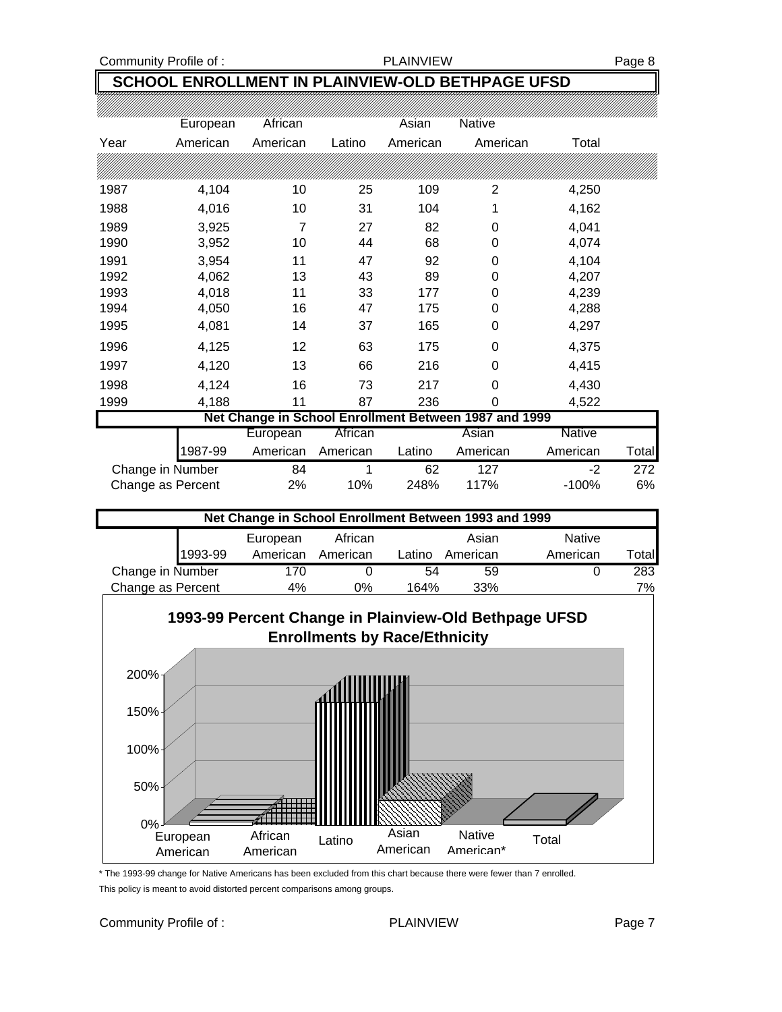### Community Profile of : The PLAINVIEW PLAINVIEW Page 8

## **SCHOOL ENROLLMENT IN PLAINVIEW-OLD BETHPAGE UFSD**

|      | European | African  |        | Asian    | <b>Native</b>                                         |       |
|------|----------|----------|--------|----------|-------------------------------------------------------|-------|
| Year | American | American | Latino | American | American                                              | Total |
|      |          |          |        |          |                                                       |       |
| 1987 | 4,104    | 10       | 25     | 109      | 2                                                     | 4,250 |
| 1988 | 4,016    | 10       | 31     | 104      | 1                                                     | 4,162 |
| 1989 | 3,925    | 7        | 27     | 82       | 0                                                     | 4,041 |
| 1990 | 3,952    | 10       | 44     | 68       | 0                                                     | 4,074 |
| 1991 | 3,954    | 11       | 47     | 92       | 0                                                     | 4,104 |
| 1992 | 4,062    | 13       | 43     | 89       | 0                                                     | 4,207 |
| 1993 | 4,018    | 11       | 33     | 177      | 0                                                     | 4,239 |
| 1994 | 4,050    | 16       | 47     | 175      | 0                                                     | 4,288 |
| 1995 | 4,081    | 14       | 37     | 165      | 0                                                     | 4,297 |
| 1996 | 4,125    | 12       | 63     | 175      | 0                                                     | 4,375 |
| 1997 | 4,120    | 13       | 66     | 216      | $\Omega$                                              | 4,415 |
| 1998 | 4,124    | 16       | 73     | 217      | $\Omega$                                              | 4,430 |
| 1999 | 4,188    | 11       | 87     | 236      | 0                                                     | 4,522 |
|      |          |          |        |          | Net Change in School Enrollment Between 1987 and 1999 |       |

| Net Change in School Enrollment Between 1987 and 1999 |          |          |        |          |               |        |  |
|-------------------------------------------------------|----------|----------|--------|----------|---------------|--------|--|
|                                                       | European | African  |        | Asian    | <b>Native</b> |        |  |
| 1987-99                                               | American | American | Latino | American | American      | Totall |  |
| Change in Number                                      | 84       |          | 62     | 127      | -2            | 272    |  |
| Change as Percent                                     | 2%       | 10%      | 248%   | 117%     | $-100%$       | 6%     |  |

| Net Change in School Enrollment Between 1993 and 1999 |          |          |        |          |               |              |  |
|-------------------------------------------------------|----------|----------|--------|----------|---------------|--------------|--|
|                                                       | European | African  |        | Asian    | <b>Native</b> |              |  |
| 1993-99                                               | American | American | Latino | American | American      | <b>Total</b> |  |
| Change in Number                                      | 170      |          | 54     | 59       |               | 283          |  |
| Change as Percent<br>164%<br>33%<br>4%<br>0%          |          |          |        |          |               |              |  |



\* The 1993-99 change for Native Americans has been excluded from this chart because there were fewer than 7 enrolled. This policy is meant to avoid distorted percent comparisons among groups.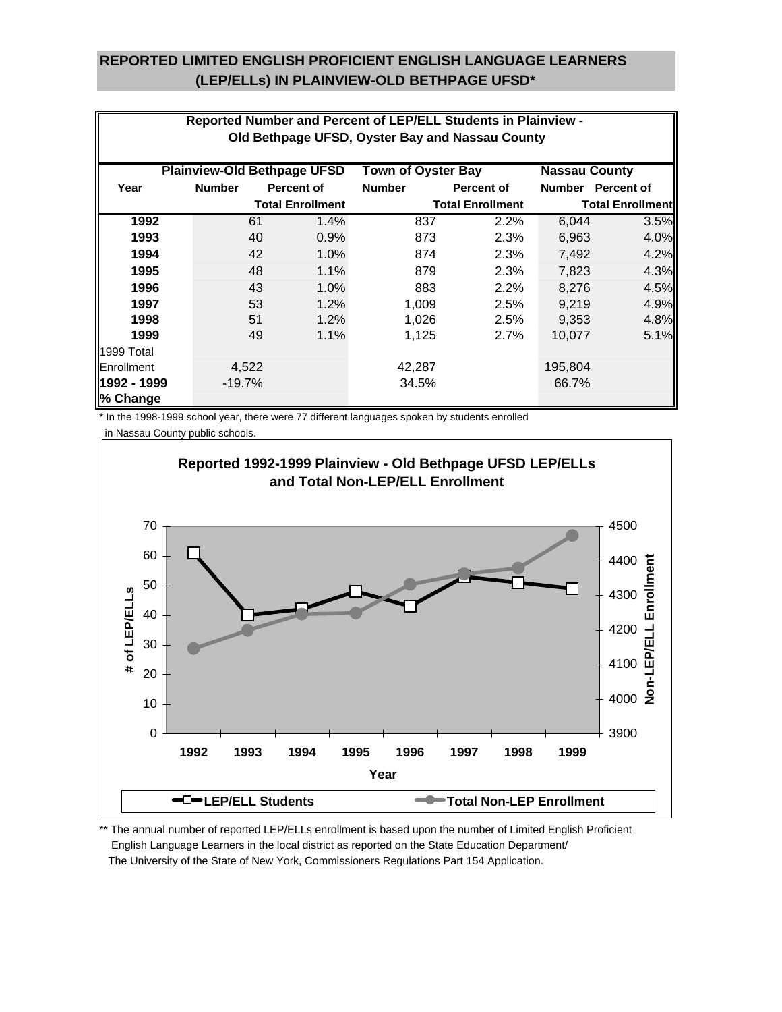### **REPORTED LIMITED ENGLISH PROFICIENT ENGLISH LANGUAGE LEARNERS (LEP/ELLs) IN PLAINVIEW-OLD BETHPAGE UFSD\***

|             |                                                                                         |                         | Reported Number and Percent of LEP/ELL Students in Plainview - |                         |         |                         |  |  |
|-------------|-----------------------------------------------------------------------------------------|-------------------------|----------------------------------------------------------------|-------------------------|---------|-------------------------|--|--|
|             |                                                                                         |                         |                                                                |                         |         |                         |  |  |
|             |                                                                                         |                         | Old Bethpage UFSD, Oyster Bay and Nassau County                |                         |         |                         |  |  |
|             | <b>Plainview-Old Bethpage UFSD</b><br><b>Town of Oyster Bay</b><br><b>Nassau County</b> |                         |                                                                |                         |         |                         |  |  |
| Year        | <b>Number</b>                                                                           | <b>Percent of</b>       | <b>Number</b>                                                  | <b>Percent of</b>       |         | Number Percent of       |  |  |
|             |                                                                                         | <b>Total Enrollment</b> |                                                                | <b>Total Enrollment</b> |         | <b>Total Enrollment</b> |  |  |
| 1992        | 61                                                                                      | 1.4%                    | 837                                                            | 2.2%                    | 6,044   | 3.5%                    |  |  |
| 1993        | 40                                                                                      | 0.9%                    | 873                                                            | 2.3%                    | 6,963   | 4.0%                    |  |  |
| 1994        | 42                                                                                      | 1.0%                    | 874                                                            | 2.3%                    | 7,492   | 4.2%                    |  |  |
| 1995        | 48                                                                                      | 1.1%                    | 879                                                            | 2.3%                    | 7,823   | 4.3%                    |  |  |
| 1996        | 43                                                                                      | 1.0%                    | 883                                                            | 2.2%                    | 8,276   | 4.5%                    |  |  |
| 1997        | 53                                                                                      | 1.2%                    | 1,009                                                          | 2.5%                    | 9,219   | 4.9%                    |  |  |
| 1998        | 51                                                                                      | 1.2%                    | 1,026                                                          | 2.5%                    | 9,353   | 4.8%                    |  |  |
| 1999        | 49                                                                                      | 1.1%                    | 1,125                                                          | 2.7%                    | 10,077  | 5.1%                    |  |  |
| 1999 Total  |                                                                                         |                         |                                                                |                         |         |                         |  |  |
| Enrollment  | 4,522                                                                                   |                         | 42,287                                                         |                         | 195,804 |                         |  |  |
| 1992 - 1999 | $-19.7%$                                                                                |                         | 34.5%                                                          |                         | 66.7%   |                         |  |  |
| % Change    |                                                                                         |                         |                                                                |                         |         |                         |  |  |

\* In the 1998-1999 school year, there were 77 different languages spoken by students enrolled

in Nassau County public schools.



\*\* The annual number of reported LEP/ELLs enrollment is based upon the number of Limited English Proficient English Language Learners in the local district as reported on the State Education Department/ The University of the State of New York, Commissioners Regulations Part 154 Application.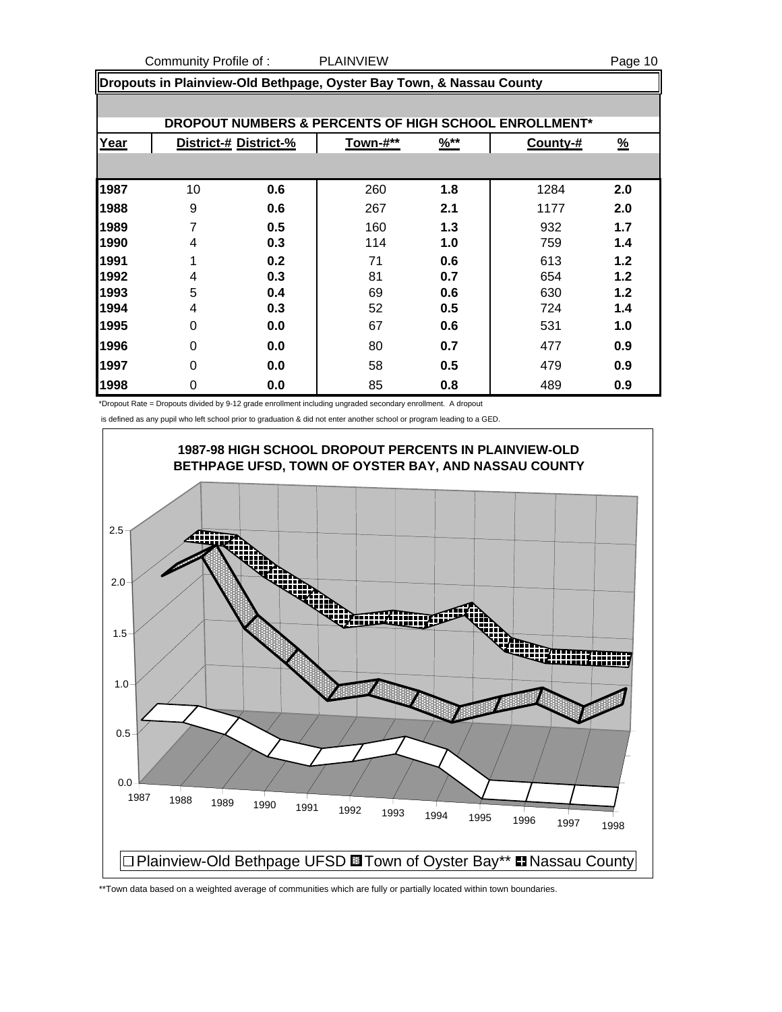Community Profile of : PLAINVIEW Page 10

|      | Dropouts in Plainview-Old Bethpage, Oyster Bay Town, & Nassau County |                       |          |                  |          |          |  |  |  |  |
|------|----------------------------------------------------------------------|-----------------------|----------|------------------|----------|----------|--|--|--|--|
|      |                                                                      |                       |          |                  |          |          |  |  |  |  |
|      | <b>DROPOUT NUMBERS &amp; PERCENTS OF HIGH SCHOOL ENROLLMENT*</b>     |                       |          |                  |          |          |  |  |  |  |
| Year |                                                                      | District-# District-% | Town-#** | $\frac{96**}{8}$ | County-# | <u>%</u> |  |  |  |  |
|      |                                                                      |                       |          |                  |          |          |  |  |  |  |
| 1987 | 10                                                                   | 0.6                   | 260      | 1.8              | 1284     | 2.0      |  |  |  |  |
| 1988 | 9                                                                    | 0.6                   | 267      | 2.1              | 1177     | 2.0      |  |  |  |  |
| 1989 |                                                                      | 0.5                   | 160      | 1.3              | 932      | 1.7      |  |  |  |  |
| 1990 | 4                                                                    | 0.3                   | 114      | 1.0              | 759      | 1.4      |  |  |  |  |
| 1991 |                                                                      | 0.2                   | 71       | 0.6              | 613      | 1.2      |  |  |  |  |
| 1992 | 4                                                                    | 0.3                   | 81       | 0.7              | 654      | 1.2      |  |  |  |  |
| 1993 | 5                                                                    | 0.4                   | 69       | 0.6              | 630      | 1.2      |  |  |  |  |
| 1994 | 4                                                                    | 0.3                   | 52       | 0.5              | 724      | 1.4      |  |  |  |  |
| 1995 | $\Omega$                                                             | 0.0                   | 67       | 0.6              | 531      | 1.0      |  |  |  |  |
| 1996 | 0                                                                    | 0.0                   | 80       | 0.7              | 477      | 0.9      |  |  |  |  |
| 1997 | $\Omega$                                                             | 0.0                   | 58       | 0.5              | 479      | 0.9      |  |  |  |  |
| 1998 | 0                                                                    | 0.0                   | 85       | 0.8              | 489      | 0.9      |  |  |  |  |

\*Dropout Rate = Dropouts divided by 9-12 grade enrollment including ungraded secondary enrollment. A dropout

is defined as any pupil who left school prior to graduation & did not enter another school or program leading to a GED.



\*\*Town data based on a weighted average of communities which are fully or partially located within town boundaries.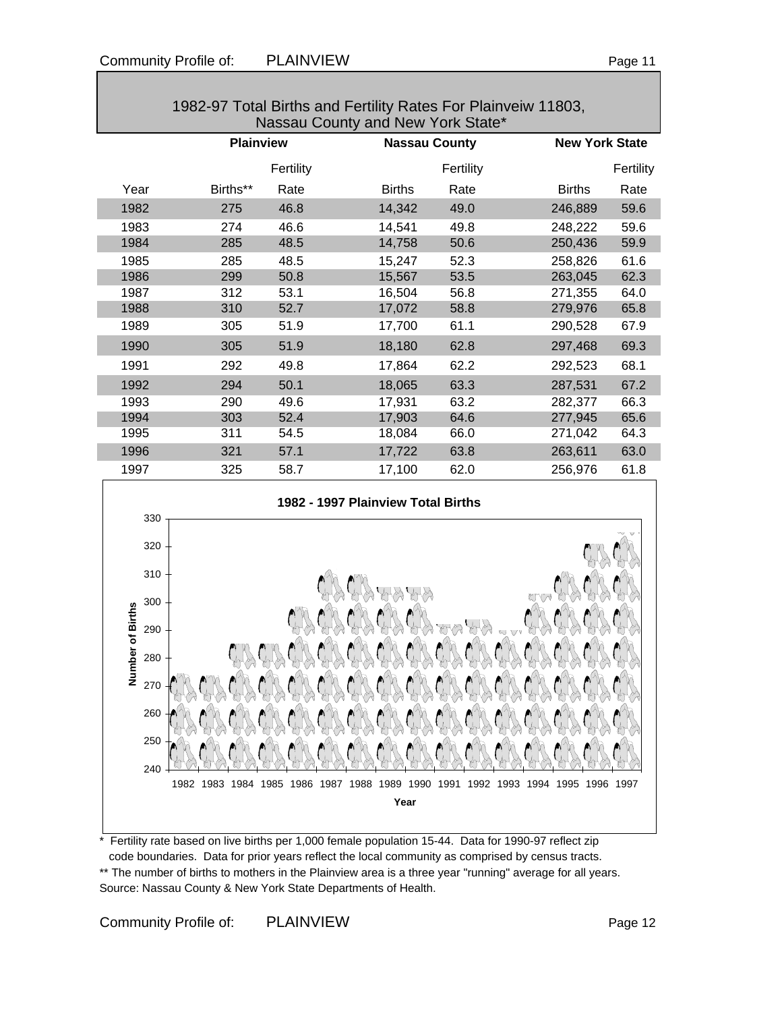|      | 1982-97 Total Births and Fertility Rates For Plainveiw 11803,<br>Nassau County and New York State* |           |               |                      |                       |           |  |
|------|----------------------------------------------------------------------------------------------------|-----------|---------------|----------------------|-----------------------|-----------|--|
|      | <b>Plainview</b>                                                                                   |           |               | <b>Nassau County</b> | <b>New York State</b> |           |  |
|      |                                                                                                    | Fertility |               | Fertility            |                       | Fertility |  |
| Year | Births**                                                                                           | Rate      | <b>Births</b> | Rate                 | <b>Births</b>         | Rate      |  |
| 1982 | 275                                                                                                | 46.8      | 14,342        | 49.0                 | 246,889               | 59.6      |  |
| 1983 | 274                                                                                                | 46.6      | 14,541        | 49.8                 | 248,222               | 59.6      |  |
| 1984 | 285                                                                                                | 48.5      | 14,758        | 50.6                 | 250,436               | 59.9      |  |
| 1985 | 285                                                                                                | 48.5      | 15,247        | 52.3                 | 258,826               | 61.6      |  |
| 1986 | 299                                                                                                | 50.8      | 15,567        | 53.5                 | 263,045               | 62.3      |  |
| 1987 | 312                                                                                                | 53.1      | 16,504        | 56.8                 | 271,355               | 64.0      |  |
| 1988 | 310                                                                                                | 52.7      | 17,072        | 58.8                 | 279,976               | 65.8      |  |
| 1989 | 305                                                                                                | 51.9      | 17,700        | 61.1                 | 290,528               | 67.9      |  |
| 1990 | 305                                                                                                | 51.9      | 18,180        | 62.8                 | 297,468               | 69.3      |  |
| 1991 | 292                                                                                                | 49.8      | 17,864        | 62.2                 | 292,523               | 68.1      |  |
| 1992 | 294                                                                                                | 50.1      | 18,065        | 63.3                 | 287,531               | 67.2      |  |
| 1993 | 290                                                                                                | 49.6      | 17,931        | 63.2                 | 282,377               | 66.3      |  |
| 1994 | 303                                                                                                | 52.4      | 17,903        | 64.6                 | 277,945               | 65.6      |  |
| 1995 | 311                                                                                                | 54.5      | 18,084        | 66.0                 | 271,042               | 64.3      |  |
| 1996 | 321                                                                                                | 57.1      | 17,722        | 63.8                 | 263,611               | 63.0      |  |
| 1997 | 325                                                                                                | 58.7      | 17,100        | 62.0                 | 256,976               | 61.8      |  |
|      |                                                                                                    |           |               |                      |                       |           |  |



\* Fertility rate based on live births per 1,000 female population 15-44. Data for 1990-97 reflect zip code boundaries. Data for prior years reflect the local community as comprised by census tracts. \*\* The number of births to mothers in the Plainview area is a three year "running" average for all years. Source: Nassau County & New York State Departments of Health.

Community Profile of: PLAINVIEW Page 12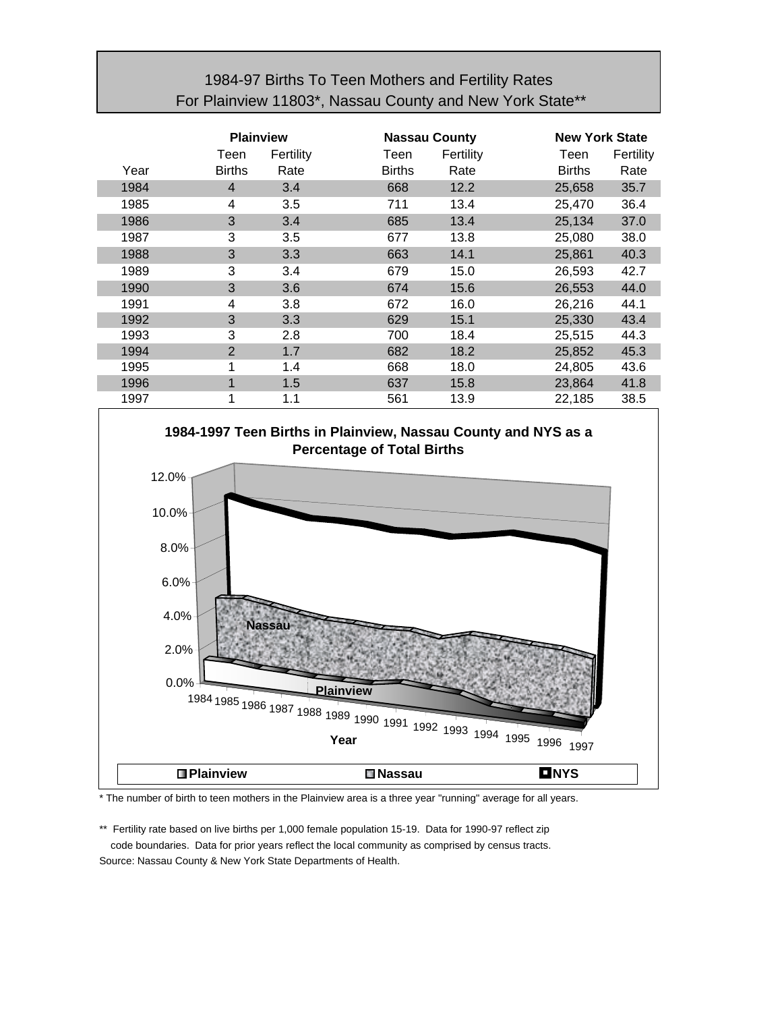## 1984-97 Births To Teen Mothers and Fertility Rates For Plainview 11803\*, Nassau County and New York State\*\*

|      | <b>Plainview</b> |           |               | <b>Nassau County</b> |               | <b>New York State</b> |  |
|------|------------------|-----------|---------------|----------------------|---------------|-----------------------|--|
|      | Teen             | Fertility | Teen          | Fertility            | Teen          | Fertility             |  |
| Year | <b>Births</b>    | Rate      | <b>Births</b> | Rate                 | <b>Births</b> | Rate                  |  |
| 1984 | $\overline{4}$   | 3.4       | 668           | 12.2                 | 25,658        | 35.7                  |  |
| 1985 | 4                | 3.5       | 711           | 13.4                 | 25,470        | 36.4                  |  |
| 1986 | 3                | 3.4       | 685           | 13.4                 | 25,134        | 37.0                  |  |
| 1987 | 3                | 3.5       | 677           | 13.8                 | 25,080        | 38.0                  |  |
| 1988 | 3                | 3.3       | 663           | 14.1                 | 25,861        | 40.3                  |  |
| 1989 | 3                | 3.4       | 679           | 15.0                 | 26,593        | 42.7                  |  |
| 1990 | 3                | 3.6       | 674           | 15.6                 | 26,553        | 44.0                  |  |
| 1991 | 4                | 3.8       | 672           | 16.0                 | 26,216        | 44.1                  |  |
| 1992 | 3                | 3.3       | 629           | 15.1                 | 25,330        | 43.4                  |  |
| 1993 | 3                | 2.8       | 700           | 18.4                 | 25,515        | 44.3                  |  |
| 1994 | 2                | 1.7       | 682           | 18.2                 | 25,852        | 45.3                  |  |
| 1995 |                  | 1.4       | 668           | 18.0                 | 24,805        | 43.6                  |  |
| 1996 | 1                | 1.5       | 637           | 15.8                 | 23,864        | 41.8                  |  |
| 1997 |                  | 1.1       | 561           | 13.9                 | 22,185        | 38.5                  |  |



\* The number of birth to teen mothers in the Plainview area is a three year "running" average for all years.

\*\* Fertility rate based on live births per 1,000 female population 15-19. Data for 1990-97 reflect zip code boundaries. Data for prior years reflect the local community as comprised by census tracts. Source: Nassau County & New York State Departments of Health.